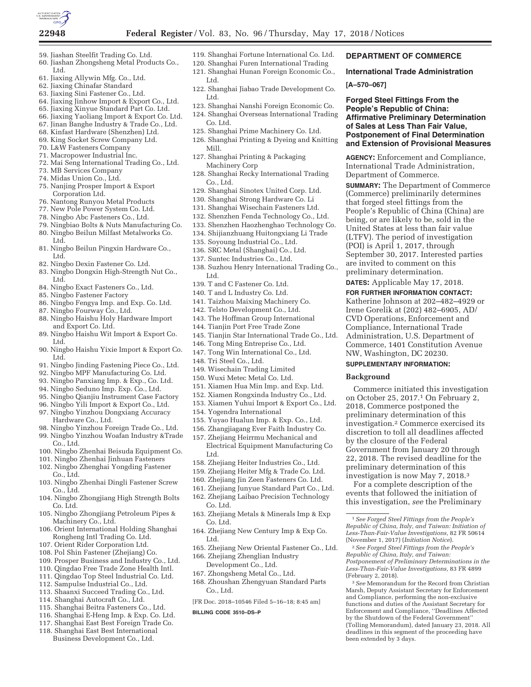

- 59. Jiashan Steelfit Trading Co. Ltd.
- 60. Jiashan Zhongsheng Metal Products Co., Ltd.
- 61. Jiaxing Allywin Mfg. Co., Ltd.
- 62. Jiaxing Chinafar Standard
- 63. Jiaxing Sini Fastener Co., Ltd.
- 64. Jiaxing Jinhow Import & Export Co., Ltd.
- 65. Jiaxing Xinyue Standard Part Co. Ltd. 66. Jiaxing Yaoliang Import & Export Co. Ltd.
- 67. Jinan Banghe Industry & Trade Co., Ltd.
- 68. Kinfast Hardware (Shenzhen) Ltd.
- 69. King Socket Screw Company Ltd.
- 70. L&W Fasteners Company
- 71. Macropower Industrial Inc.
- 72. Mai Seng International Trading Co., Ltd.
- 73. MB Services Company
- 74. Midas Union Co., Ltd.
- 75. Nanjing Prosper Import & Export Corporation Ltd.
- 76. Nantong Runyou Metal Products
- 77. New Pole Power System Co. Ltd.
- 78. Ningbo Abc Fasteners Co., Ltd.
- 79. Ningbiao Bolts & Nuts Manufacturing Co.
- 80. Ningbo Beilun Milfast Metalworks Co. Ltd.
- 81. Ningbo Beilun Pingxin Hardware Co., Ltd.
- 82. Ningbo Dexin Fastener Co. Ltd.
- 83. Ningbo Dongxin High-Strength Nut Co., Ltd.
- 84. Ningbo Exact Fasteners Co., Ltd.
- 85. Ningbo Fastener Factory
- 86. Ningbo Fengya Imp. and Exp. Co. Ltd.
- 87. Ningbo Fourway Co., Ltd.
- 88. Ningbo Haishu Holy Hardware Import and Export Co. Ltd.
- 89. Ningbo Haishu Wit Import & Export Co. Ltd.
- 90. Ningbo Haishu Yixie Import & Export Co. Ltd.
- 91. Ningbo Jinding Fastening Piece Co., Ltd.
- 92. Ningbo MPF Manufacturing Co. Ltd.
- 93. Ningbo Panxiang Imp. & Exp., Co. Ltd.
- 94. Ningbo Seduno Imp. Exp. Co., Ltd.
- 95. Ningbo Qianjiu Instrument Case Factory
- 96. Ningbo Yili Import & Export Co., Ltd.
- 97. Ningbo Yinzhou Dongxiang Accuracy Hardware Co., Ltd.
- 98. Ningbo Yinzhou Foreign Trade Co., Ltd.
- 99. Ningbo Yinzhou Woafan Industry &Trade
- Co., Ltd. 100. Ningbo Zhenhai Beisuda Equipment Co.
- 101. Ningbo Zhenhai Jinhuan Fasteners
- 102. Ningbo Zhenghai Yongding Fastener
- Co., Ltd.
- 103. Ningbo Zhenhai Dingli Fastener Screw Co., Ltd.
- 104. Ningbo Zhongjiang High Strength Bolts Co. Ltd.
- 105. Ningbo Zhongjiang Petroleum Pipes & Machinery Co., Ltd.
- 106. Orient International Holding Shanghai Rongheng Intl Trading Co. Ltd.
- 107. Orient Rider Corporation Ltd.
- 108. Pol Shin Fastener (Zhejiang) Co.
- 109. Prosper Business and Industry Co., Ltd.
- 110. Qingdao Free Trade Zone Health Intl.
- 111. Qingdao Top Steel Industrial Co. Ltd.
- 112. Sampulse Industrial Co., Ltd.
- 113. Shaanxi Succeed Trading Co., Ltd. 114. Shanghai Autocraft Co., Ltd.
- 115. Shanghai Beitra Fasteners Co., Ltd.
- 
- 116. Shanghai E-Heng Imp. & Exp. Co. Ltd. 117. Shanghai East Best Foreign Trade Co.
- 118. Shanghai East Best International Business Development Co., Ltd.
- 119. Shanghai Fortune International Co. Ltd.
- 120. Shanghai Furen International Trading 121. Shanghai Hunan Foreign Economic Co., Ltd.
- 122. Shanghai Jiabao Trade Development Co. Ltd.
	-
- 123. Shanghai Nanshi Foreign Economic Co. 124. Shanghai Overseas International Trading Co. Ltd.
- 125. Shanghai Prime Machinery Co. Ltd.
- 126. Shanghai Printing & Dyeing and Knitting Mill.
- 127. Shanghai Printing & Packaging Machinery Corp
- 128. Shanghai Recky International Trading Co., Ltd.
- 129. Shanghai Sinotex United Corp. Ltd.
- 130. Shanghai Strong Hardware Co. Li
- 131. Shanghai Wisechain Fasteners Ltd.
- 132. Shenzhen Fenda Technology Co., Ltd.
- 133. Shenzhen Haozhenghao Technology Co.
- 134. Shijianzhuang Huitongxiang Li Trade
- 135. Soyoung Industrial Co., Ltd.
- 136. SRC Metal (Shanghai) Co., Ltd.
- 137. Suntec Industries Co., Ltd.
- 138. Suzhou Henry International Trading Co., Ltd.
- 139. T and C Fastener Co. Ltd.
- 140. T and L Industry Co. Ltd.
- 141. Taizhou Maixing Machinery Co.
- 142. Telsto Development Co., Ltd.
- 143. The Hoffman Group International
- 144. Tianjin Port Free Trade Zone
- 145. Tianjin Star International Trade Co., Ltd.
- 146. Tong Ming Entreprise Co., Ltd.
- 147. Tong Win International Co., Ltd.
- 148. Tri Steel Co., Ltd.

Ltd.

Co. Ltd.

Co. Ltd.

Co., Ltd.

**BILLING CODE 3510–DS–P** 

Ltd.

- 149. Wisechain Trading Limited
- 150. Wuxi Metec Metal Co. Ltd.
- 151. Xiamen Hua Min Imp. and Exp. Ltd.
- 152. Xiamen Rongxinda Industry Co., Ltd.
- 153. Xiamen Yuhui Import & Export Co., Ltd.
- 154. Yogendra International
- 155. Yuyao Hualun Imp. & Exp. Co., Ltd.
- 156. Zhangjiagang Ever Faith Industry Co.
- 157. Zhejiang Heirrmu Mechanical and

158. Zhejiang Heiter Industries Co., Ltd. 159. Zhejiang Heiter Mfg & Trade Co. Ltd. 160. Zhejiang Jin Zeen Fasteners Co. Ltd. 161. Zhejiang Junyue Standard Part Co., Ltd. 162. Zhejiang Laibao Precision Technology

163. Zhejiang Metals & Minerals Imp & Exp

164. Zhejiang New Century Imp & Exp Co.

[FR Doc. 2018–10546 Filed 5–16–18; 8:45 am]

166. Zhejiang Zhenglian Industry Development Co., Ltd. 167. Zhongsheng Metal Co., Ltd. 168. Zhoushan Zhengyuan Standard Parts

165. Zhejiang New Oriental Fastener Co., Ltd.

Electrical Equipment Manufacturing Co

1*See Forged Steel Fittings from the People's Republic of China, Italy, and Taiwan: Initiation of Less-Than-Fair-Value Investigations,* 82 FR 50614 (November 1, 2017) (*Initiation Notice*). 2*See Forged Steel Fittings from the People's Republic of China, Italy, and Taiwan:* 

Government from January 20 through 22, 2018. The revised deadline for the preliminary determination of this investigation is now May 7, 2018.3 For a complete description of the events that followed the initiation of this investigation, *see* the Preliminary

**DEPARTMENT OF COMMERCE International Trade Administration** 

**Forged Steel Fittings From the People's Republic of China:** 

Department of Commerce.

NW, Washington, DC 20230. **SUPPLEMENTARY INFORMATION:** 

by the closure of the Federal

Commerce initiated this investigation on October 25, 2017.1 On February 2, 2018, Commerce postponed the preliminary determination of this investigation.2 Commerce exercised its discretion to toll all deadlines affected

**Background** 

**Affirmative Preliminary Determination of Sales at Less Than Fair Value, Postponement of Final Determination and Extension of Provisional Measures AGENCY:** Enforcement and Compliance, International Trade Administration,

**SUMMARY:** The Department of Commerce (Commerce) preliminarily determines that forged steel fittings from the People's Republic of China (China) are being, or are likely to be, sold in the United States at less than fair value (LTFV). The period of investigation (POI) is April 1, 2017, through September 30, 2017. Interested parties are invited to comment on this preliminary determination. **DATES:** Applicable May 17, 2018. **FOR FURTHER INFORMATION CONTACT:**  Katherine Johnson at 202–482–4929 or Irene Gorelik at (202) 482–6905, AD/ CVD Operations, Enforcement and Compliance, International Trade Administration, U.S. Department of Commerce, 1401 Constitution Avenue

**[A–570–067]** 

*Postponement of Preliminary Determinations in the Less-Than-Fair-Value Investigations,* 83 FR 4899

3*See* Memorandum for the Record from Christian Marsh, Deputy Assistant Secretary for Enforcement and Compliance, performing the non-exclusive functions and duties of the Assistant Secretary for Enforcement and Compliance, ''Deadlines Affected by the Shutdown of the Federal Government'' (Tolling Memorandum), dated January 23, 2018. All deadlines in this segment of the proceeding have

(February 2, 2018).

been extended by 3 days.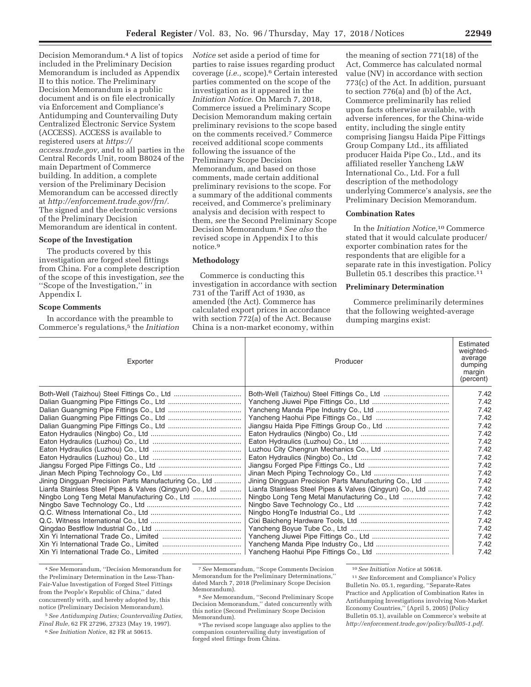Decision Memorandum.4 A list of topics included in the Preliminary Decision Memorandum is included as Appendix II to this notice. The Preliminary Decision Memorandum is a public document and is on file electronically via Enforcement and Compliance's Antidumping and Countervailing Duty Centralized Electronic Service System (ACCESS). ACCESS is available to registered users at *https:// access.trade.gov,* and to all parties in the Central Records Unit, room B8024 of the main Department of Commerce building. In addition, a complete version of the Preliminary Decision Memorandum can be accessed directly at *http://enforcement.trade.gov/frn/.*  The signed and the electronic versions of the Preliminary Decision Memorandum are identical in content.

#### **Scope of the Investigation**

The products covered by this investigation are forged steel fittings from China. For a complete description of the scope of this investigation, *see* the ''Scope of the Investigation,'' in Appendix I.

#### **Scope Comments**

In accordance with the preamble to Commerce's regulations,5 the *Initiation* 

*Notice* set aside a period of time for parties to raise issues regarding product coverage (*i.e.,* scope).6 Certain interested parties commented on the scope of the investigation as it appeared in the *Initiation Notice.* On March 7, 2018, Commerce issued a Preliminary Scope Decision Memorandum making certain preliminary revisions to the scope based on the comments received.7 Commerce received additional scope comments following the issuance of the Preliminary Scope Decision Memorandum, and based on those comments, made certain additional preliminary revisions to the scope. For a summary of the additional comments received, and Commerce's preliminary analysis and decision with respect to them, *see* the Second Preliminary Scope Decision Memorandum.8 *See also* the revised scope in Appendix I to this notice.9

## **Methodology**

Commerce is conducting this investigation in accordance with section 731 of the Tariff Act of 1930, as amended (the Act). Commerce has calculated export prices in accordance with section 772(a) of the Act. Because China is a non-market economy, within

the meaning of section 771(18) of the Act, Commerce has calculated normal value (NV) in accordance with section 773(c) of the Act. In addition, pursuant to section 776(a) and (b) of the Act, Commerce preliminarily has relied upon facts otherwise available, with adverse inferences, for the China-wide entity, including the single entity comprising Jiangsu Haida Pipe Fittings Group Company Ltd., its affiliated producer Haida Pipe Co., Ltd., and its affiliated reseller Yancheng L&W International Co., Ltd. For a full description of the methodology underlying Commerce's analysis, *see* the Preliminary Decision Memorandum.

# **Combination Rates**

In the *Initiation Notice,*10 Commerce stated that it would calculate producer/ exporter combination rates for the respondents that are eligible for a separate rate in this investigation. Policy Bulletin 05.1 describes this practice.<sup>11</sup>

#### **Preliminary Determination**

Commerce preliminarily determines that the following weighted-average dumping margins exist:

| Exporter                                                 | Producer                                                 | Estimated<br>weighted-<br>average<br>dumping<br>margin<br>(percent) |
|----------------------------------------------------------|----------------------------------------------------------|---------------------------------------------------------------------|
|                                                          |                                                          | 7.42                                                                |
|                                                          |                                                          | 7.42                                                                |
|                                                          |                                                          | 7.42                                                                |
|                                                          |                                                          | 7.42                                                                |
|                                                          |                                                          | 7.42                                                                |
|                                                          |                                                          | 7.42                                                                |
|                                                          |                                                          | 7.42                                                                |
|                                                          |                                                          | 7.42                                                                |
|                                                          |                                                          | 7.42                                                                |
|                                                          |                                                          | 7.42                                                                |
|                                                          |                                                          | 7.42                                                                |
| Jining Dingguan Precision Parts Manufacturing Co., Ltd   | Jining Dingguan Precision Parts Manufacturing Co., Ltd   | 7.42                                                                |
| Lianfa Stainless Steel Pipes & Valves (Qingyun) Co., Ltd | Lianfa Stainless Steel Pipes & Valves (Qingyun) Co., Ltd | 7.42                                                                |
|                                                          |                                                          | 7.42                                                                |
|                                                          |                                                          | 7.42                                                                |
|                                                          |                                                          | 7.42                                                                |
|                                                          |                                                          | 7.42<br>7.42                                                        |
|                                                          |                                                          | 7.42                                                                |
|                                                          |                                                          | 7.42                                                                |
|                                                          |                                                          | 7.42                                                                |
|                                                          |                                                          |                                                                     |

<sup>4</sup>*See* Memorandum, ''Decision Memorandum for the Preliminary Determination in the Less-Than-Fair-Value Investigation of Forged Steel Fittings from the People's Republic of China,'' dated concurrently with, and hereby adopted by, this notice (Preliminary Decision Memorandum).

6*See Initiation Notic*e, 82 FR at 50615.

10*See Initiation Notice* at 50618.

11*See* Enforcement and Compliance's Policy Bulletin No. 05.1, regarding, ''Separate-Rates Practice and Application of Combination Rates in Antidumping Investigations involving Non-Market Economy Countries,'' (April 5, 2005) (Policy Bulletin 05.1), available on Commerce's website at *http://enforcement.trade.gov/policy/bull05-1.pdf.* 

<sup>5</sup>*See Antidumping Duties; Countervailing Duties, Final Rule,* 62 FR 27296, 27323 (May 19, 1997).

<sup>7</sup>*See* Memorandum, ''Scope Comments Decision Memorandum for the Preliminary Determinations,'' dated March 7, 2018 (Preliminary Scope Decision

<sup>&</sup>lt;sup>8</sup> See Memorandum, "Second Preliminary Scope Decision Memorandum,'' dated concurrently with this notice (Second Preliminary Scope Decision

Memorandum). 9The revised scope language also applies to the companion countervailing duty investigation of forged steel fittings from China.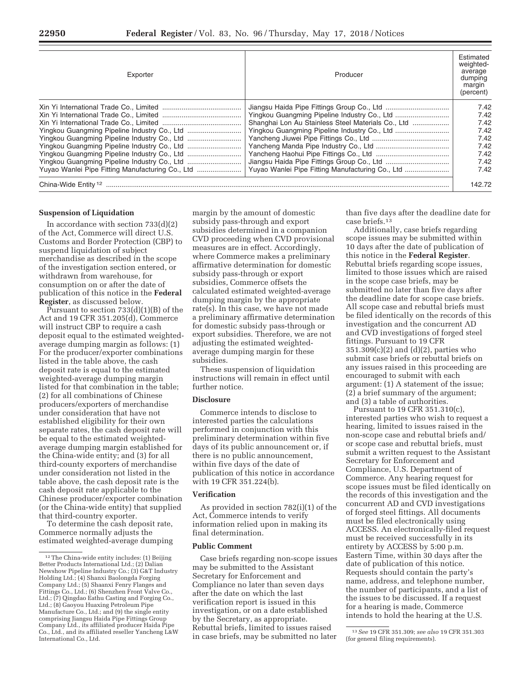| Exporter                                         | Producer                                         | Estimated<br>weighted-<br>average<br>dumping<br>margin<br>(percent) |
|--------------------------------------------------|--------------------------------------------------|---------------------------------------------------------------------|
|                                                  |                                                  | 7.42<br>7.42<br>7.42<br>7.42<br>7.42<br>7.42<br>7.42                |
| Yuyao Wanlei Pipe Fitting Manufacturing Co., Ltd | Yuyao Wanlei Pipe Fitting Manufacturing Co., Ltd | 7.42<br>7.42<br>142.72                                              |

#### **Suspension of Liquidation**

In accordance with section 733(d)(2) of the Act, Commerce will direct U.S. Customs and Border Protection (CBP) to suspend liquidation of subject merchandise as described in the scope of the investigation section entered, or withdrawn from warehouse, for consumption on or after the date of publication of this notice in the **Federal Register**, as discussed below.

Pursuant to section 733(d)(1)(B) of the Act and 19 CFR 351.205(d), Commerce will instruct CBP to require a cash deposit equal to the estimated weightedaverage dumping margin as follows: (1) For the producer/exporter combinations listed in the table above, the cash deposit rate is equal to the estimated weighted-average dumping margin listed for that combination in the table; (2) for all combinations of Chinese producers/exporters of merchandise under consideration that have not established eligibility for their own separate rates, the cash deposit rate will be equal to the estimated weightedaverage dumping margin established for the China-wide entity; and (3) for all third-county exporters of merchandise under consideration not listed in the table above, the cash deposit rate is the cash deposit rate applicable to the Chinese producer/exporter combination (or the China-wide entity) that supplied that third-country exporter.

To determine the cash deposit rate, Commerce normally adjusts the estimated weighted-average dumping

margin by the amount of domestic subsidy pass-through and export subsidies determined in a companion CVD proceeding when CVD provisional measures are in effect. Accordingly, where Commerce makes a preliminary affirmative determination for domestic subsidy pass-through or export subsidies, Commerce offsets the calculated estimated weighted-average dumping margin by the appropriate rate(s). In this case, we have not made a preliminary affirmative determination for domestic subsidy pass-through or export subsidies. Therefore, we are not adjusting the estimated weightedaverage dumping margin for these subsidies.

These suspension of liquidation instructions will remain in effect until further notice.

#### **Disclosure**

Commerce intends to disclose to interested parties the calculations performed in conjunction with this preliminary determination within five days of its public announcement or, if there is no public announcement, within five days of the date of publication of this notice in accordance with 19 CFR 351.224(b).

#### **Verification**

As provided in section 782(i)(1) of the Act, Commerce intends to verify information relied upon in making its final determination.

#### **Public Comment**

Case briefs regarding non-scope issues may be submitted to the Assistant Secretary for Enforcement and Compliance no later than seven days after the date on which the last verification report is issued in this investigation, or on a date established by the Secretary, as appropriate. Rebuttal briefs, limited to issues raised in case briefs, may be submitted no later

than five days after the deadline date for case briefs.13

Additionally, case briefs regarding scope issues may be submitted within 10 days after the date of publication of this notice in the **Federal Register**. Rebuttal briefs regarding scope issues, limited to those issues which are raised in the scope case briefs, may be submitted no later than five days after the deadline date for scope case briefs. All scope case and rebuttal briefs must be filed identically on the records of this investigation and the concurrent AD and CVD investigations of forged steel fittings. Pursuant to 19 CFR 351.309(c)(2) and (d)(2), parties who submit case briefs or rebuttal briefs on any issues raised in this proceeding are encouraged to submit with each argument: (1) A statement of the issue; (2) a brief summary of the argument; and (3) a table of authorities.

Pursuant to 19 CFR 351.310(c), interested parties who wish to request a hearing, limited to issues raised in the non-scope case and rebuttal briefs and/ or scope case and rebuttal briefs, must submit a written request to the Assistant Secretary for Enforcement and Compliance, U.S. Department of Commerce. Any hearing request for scope issues must be filed identically on the records of this investigation and the concurrent AD and CVD investigations of forged steel fittings. All documents must be filed electronically using ACCESS. An electronically-filed request must be received successfully in its entirety by ACCESS by 5:00 p.m. Eastern Time, within 30 days after the date of publication of this notice. Requests should contain the party's name, address, and telephone number, the number of participants, and a list of the issues to be discussed. If a request for a hearing is made, Commerce intends to hold the hearing at the U.S.

<sup>12</sup>The China-wide entity includes: (1) Beijing Better Products International Ltd.; (2) Dalian Newshow Pipeline Industry Co.; (3) G&T Industry Holding Ltd.; (4) Shanxi Baolongda Forging Company Ltd.; (5) Shaanxi Fenry Flanges and Fittings Co., Ltd.; (6) Shenzhen Front Valve Co., Ltd.; (7) Qingdao Eathu Casting and Forging Co., Ltd.; (8) Gaoyou Huaxing Petroleum Pipe Manufacture Co., Ltd.; and (9) the single entity comprising Jiangsu Haida Pipe Fittings Group Company Ltd., its affiliated producer Haida Pipe Co., Ltd., and its affiliated reseller Yancheng L&W International Co., Ltd.

<sup>13</sup>*See* 19 CFR 351.309; *see also* 19 CFR 351.303 (for general filing requirements).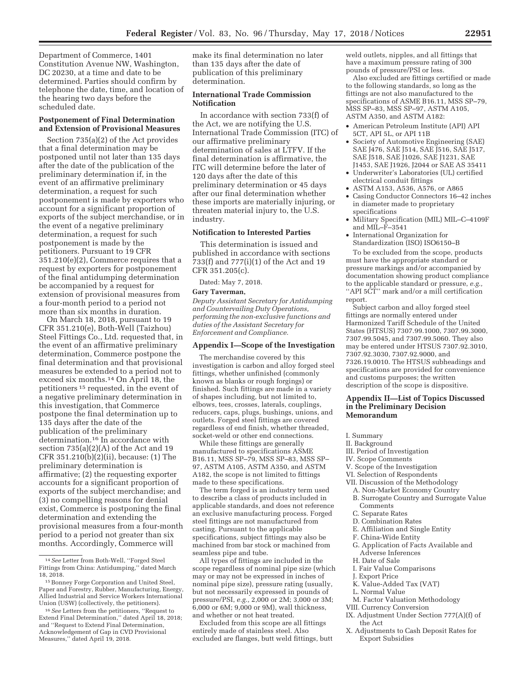Department of Commerce, 1401 Constitution Avenue NW, Washington, DC 20230, at a time and date to be determined. Parties should confirm by telephone the date, time, and location of the hearing two days before the scheduled date.

## **Postponement of Final Determination and Extension of Provisional Measures**

Section 735(a)(2) of the Act provides that a final determination may be postponed until not later than 135 days after the date of the publication of the preliminary determination if, in the event of an affirmative preliminary determination, a request for such postponement is made by exporters who account for a significant proportion of exports of the subject merchandise, or in the event of a negative preliminary determination, a request for such postponement is made by the petitioners. Pursuant to 19 CFR 351.210(e)(2), Commerce requires that a request by exporters for postponement of the final antidumping determination be accompanied by a request for extension of provisional measures from a four-month period to a period not more than six months in duration.

On March 18, 2018, pursuant to 19 CFR 351.210(e), Both-Well (Taizhou) Steel Fittings Co., Ltd. requested that, in the event of an affirmative preliminary determination, Commerce postpone the final determination and that provisional measures be extended to a period not to exceed six months.14 On April 18, the petitioners 15 requested, in the event of a negative preliminary determination in this investigation, that Commerce postpone the final determination up to 135 days after the date of the publication of the preliminary determination.16 In accordance with section 735(a)(2)(A) of the Act and 19 CFR 351.210(b)(2)(ii), because: (1) The preliminary determination is affirmative; (2) the requesting exporter accounts for a significant proportion of exports of the subject merchandise; and (3) no compelling reasons for denial exist, Commerce is postponing the final determination and extending the provisional measures from a four-month period to a period not greater than six months. Accordingly, Commerce will

make its final determination no later than 135 days after the date of publication of this preliminary determination.

# **International Trade Commission Notification**

In accordance with section 733(f) of the Act, we are notifying the U.S. International Trade Commission (ITC) of our affirmative preliminary determination of sales at LTFV. If the final determination is affirmative, the ITC will determine before the later of 120 days after the date of this preliminary determination or 45 days after our final determination whether these imports are materially injuring, or threaten material injury to, the U.S. industry.

# **Notification to Interested Parties**

This determination is issued and published in accordance with sections 733(f) and 777(i)(1) of the Act and 19 CFR 351.205(c).

Dated: May 7, 2018.

#### **Gary Taverman,**

*Deputy Assistant Secretary for Antidumping and Countervailing Duty Operations, performing the non-exclusive functions and duties of the Assistant Secretary for Enforcement and Compliance.* 

#### **Appendix I—Scope of the Investigation**

The merchandise covered by this investigation is carbon and alloy forged steel fittings, whether unfinished (commonly known as blanks or rough forgings) or finished. Such fittings are made in a variety of shapes including, but not limited to, elbows, tees, crosses, laterals, couplings, reducers, caps, plugs, bushings, unions, and outlets. Forged steel fittings are covered regardless of end finish, whether threaded, socket-weld or other end connections.

While these fittings are generally manufactured to specifications ASME B16.11, MSS SP–79, MSS SP–83, MSS SP– 97, ASTM A105, ASTM A350, and ASTM A182, the scope is not limited to fittings made to these specifications.

The term forged is an industry term used to describe a class of products included in applicable standards, and does not reference an exclusive manufacturing process. Forged steel fittings are not manufactured from casting. Pursuant to the applicable specifications, subject fittings may also be machined from bar stock or machined from seamless pipe and tube.

All types of fittings are included in the scope regardless of nominal pipe size (which may or may not be expressed in inches of nominal pipe size), pressure rating (usually, but not necessarily expressed in pounds of pressure/PSI, *e.g.,* 2,000 or 2M; 3,000 or 3M;  $6,000$  or  $6M$ ;  $9,000$  or  $9M$ ), wall thickness, and whether or not heat treated.

Excluded from this scope are all fittings entirely made of stainless steel. Also excluded are flanges, butt weld fittings, butt

weld outlets, nipples, and all fittings that have a maximum pressure rating of 300 pounds of pressure/PSI or less.

Also excluded are fittings certified or made to the following standards, so long as the fittings are not also manufactured to the specifications of ASME B16.11, MSS SP–79, MSS SP–83, MSS SP–97, ASTM A105, ASTM A350, and ASTM A182:

- American Petroleum Institute (API) API 5CT, API 5L, or API 11B
- Society of Automotive Engineering (SAE) SAE J476, SAE J514, SAE J516, SAE J517, SAE J518, SAE J1026, SAE J1231, SAE J1453, SAE J1926, J2044 or SAE AS 35411 • Underwriter's Laboratories (UL) certified
- electrical conduit fittings
- ASTM A153, A536, A576, or A865
- Casing Conductor Connectors 16–42 inches in diameter made to proprietary specifications
- Military Specification (MIL) MIL–C–4109F and  $\overline{MI} - \overline{F} - 3541$
- International Organization for Standardization (ISO) ISO6150–B

To be excluded from the scope, products must have the appropriate standard or pressure markings and/or accompanied by documentation showing product compliance to the applicable standard or pressure, *e.g.,*  ''API 5CT'' mark and/or a mill certification report.

Subject carbon and alloy forged steel fittings are normally entered under Harmonized Tariff Schedule of the United States (HTSUS) 7307.99.1000, 7307.99.3000, 7307.99.5045, and 7307.99.5060. They also may be entered under HTSUS 7307.92.3010, 7307.92.3030, 7307.92.9000, and 7326.19.0010. The HTSUS subheadings and specifications are provided for convenience and customs purposes; the written description of the scope is dispositive.

## **Appendix II—List of Topics Discussed in the Preliminary Decision Memorandum**

- I. Summary
- II. Background
- III. Period of Investigation
- IV. Scope Comments
- V. Scope of the Investigation
- VI. Selection of Respondents
- VII. Discussion of the Methodology
- A. Non-Market Economy Country
- B. Surrogate Country and Surrogate Value **Comments**
- C. Separate Rates
- D. Combination Rates
- E. Affiliation and Single Entity
- F. China-Wide Entity
- G. Application of Facts Available and Adverse Inferences
- H. Date of Sale
- I. Fair Value Comparisons
- J. Export Price
- K. Value-Added Tax (VAT)
- L. Normal Value
- M. Factor Valuation Methodology
- VIII. Currency Conversion
- IX. Adjustment Under Section 777(A)(f) of the Act
- X. Adjustments to Cash Deposit Rates for Export Subsidies

<sup>14</sup>*See* Letter from Both-Well, ''Forged Steel Fittings from China: Antidumping,'' dated March 18, 2018.

<sup>15</sup>Bonney Forge Corporation and United Steel, Paper and Forestry, Rubber, Manufacturing, Energy, Allied Industrial and Service Workers International Union (USW) (collectively, the petitioners).

<sup>16</sup>*See* Letters from the petitioners, ''Request to Extend Final Determination,'' dated April 18, 2018; and ''Request to Extend Final Determination, Acknowledgement of Gap in CVD Provisional Measures," dated April 19, 2018.